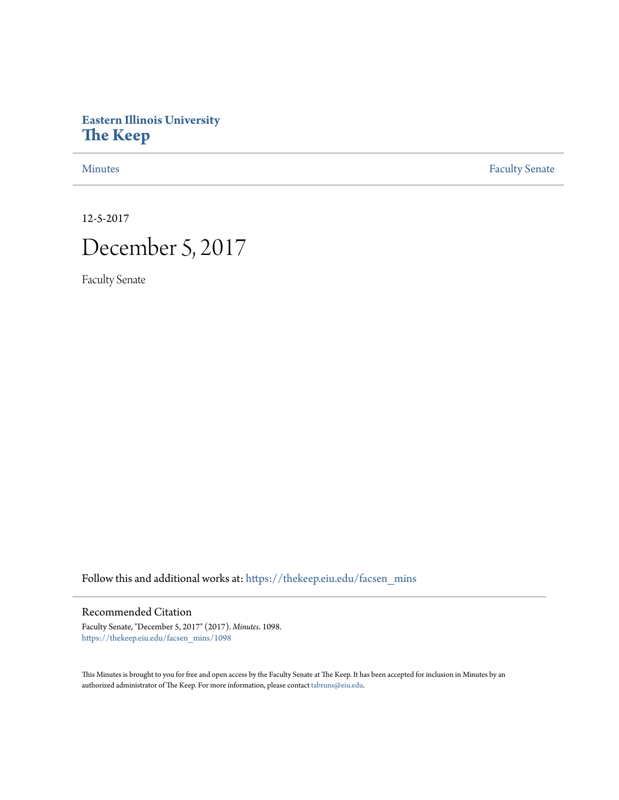# **Eastern Illinois University [The Keep](https://thekeep.eiu.edu?utm_source=thekeep.eiu.edu%2Ffacsen_mins%2F1098&utm_medium=PDF&utm_campaign=PDFCoverPages)**

[Minutes](https://thekeep.eiu.edu/facsen_mins?utm_source=thekeep.eiu.edu%2Ffacsen_mins%2F1098&utm_medium=PDF&utm_campaign=PDFCoverPages) **[Faculty Senate](https://thekeep.eiu.edu/fac_senate?utm_source=thekeep.eiu.edu%2Ffacsen_mins%2F1098&utm_medium=PDF&utm_campaign=PDFCoverPages)** 

12-5-2017

# December 5, 2017

Faculty Senate

Follow this and additional works at: [https://thekeep.eiu.edu/facsen\\_mins](https://thekeep.eiu.edu/facsen_mins?utm_source=thekeep.eiu.edu%2Ffacsen_mins%2F1098&utm_medium=PDF&utm_campaign=PDFCoverPages)

# Recommended Citation

Faculty Senate, "December 5, 2017" (2017). *Minutes*. 1098. [https://thekeep.eiu.edu/facsen\\_mins/1098](https://thekeep.eiu.edu/facsen_mins/1098?utm_source=thekeep.eiu.edu%2Ffacsen_mins%2F1098&utm_medium=PDF&utm_campaign=PDFCoverPages)

This Minutes is brought to you for free and open access by the Faculty Senate at The Keep. It has been accepted for inclusion in Minutes by an authorized administrator of The Keep. For more information, please contact [tabruns@eiu.edu](mailto:tabruns@eiu.edu).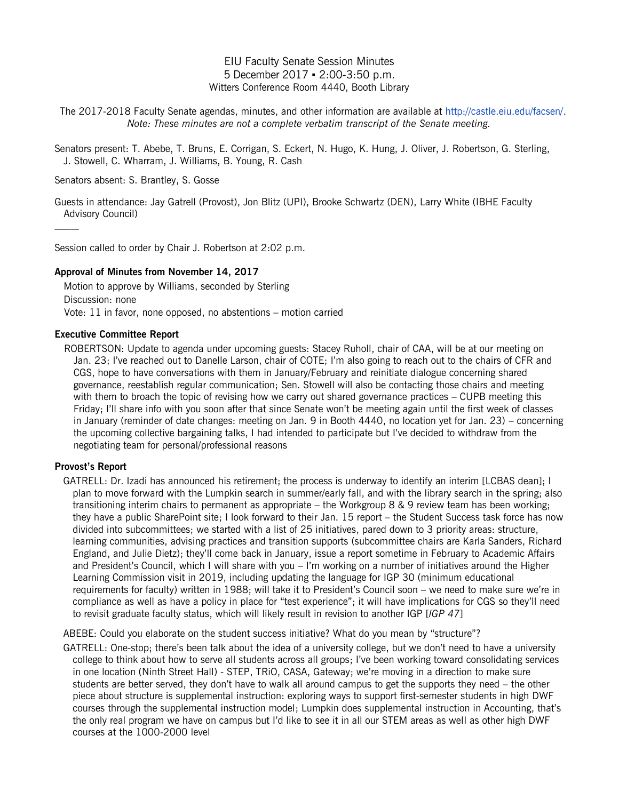# EIU Faculty Senate Session Minutes 5 December 2017 ▪ 2:00-3:50 p.m. Witters Conference Room 4440, Booth Library

The 2017-2018 Faculty Senate agendas, minutes, and other information are available at [http://castle.eiu.edu/facsen/.](http://castle.eiu.edu/facsen/) *Note: These minutes are not a complete verbatim transcript of the Senate meeting.*

Senators present: T. Abebe, T. Bruns, E. Corrigan, S. Eckert, N. Hugo, K. Hung, J. Oliver, J. Robertson, G. Sterling, J. Stowell, C. Wharram, J. Williams, B. Young, R. Cash

Senators absent: S. Brantley, S. Gosse

Guests in attendance: Jay Gatrell (Provost), Jon Blitz (UPI), Brooke Schwartz (DEN), Larry White (IBHE Faculty Advisory Council)

Session called to order by Chair J. Robertson at 2:02 p.m.

## **Approval of Minutes from November 14, 2017**

Motion to approve by Williams, seconded by Sterling Discussion: none Vote: 11 in favor, none opposed, no abstentions – motion carried

## **Executive Committee Report**

ROBERTSON: Update to agenda under upcoming guests: Stacey Ruholl, chair of CAA, will be at our meeting on Jan. 23; I've reached out to Danelle Larson, chair of COTE; I'm also going to reach out to the chairs of CFR and CGS, hope to have conversations with them in January/February and reinitiate dialogue concerning shared governance, reestablish regular communication; Sen. Stowell will also be contacting those chairs and meeting with them to broach the topic of revising how we carry out shared governance practices – CUPB meeting this Friday; I'll share info with you soon after that since Senate won't be meeting again until the first week of classes in January (reminder of date changes: meeting on Jan. 9 in Booth 4440, no location yet for Jan. 23) – concerning the upcoming collective bargaining talks, I had intended to participate but I've decided to withdraw from the negotiating team for personal/professional reasons

# **Provost's Report**

GATRELL: Dr. Izadi has announced his retirement; the process is underway to identify an interim [LCBAS dean]; I plan to move forward with the Lumpkin search in summer/early fall, and with the library search in the spring; also transitioning interim chairs to permanent as appropriate – the Workgroup 8 & 9 review team has been working; they have a public SharePoint site; I look forward to their Jan. 15 report – the Student Success task force has now divided into subcommittees; we started with a list of 25 initiatives, pared down to 3 priority areas: structure, learning communities, advising practices and transition supports (subcommittee chairs are Karla Sanders, Richard England, and Julie Dietz); they'll come back in January, issue a report sometime in February to Academic Affairs and President's Council, which I will share with you – I'm working on a number of initiatives around the Higher Learning Commission visit in 2019, including updating the language for IGP 30 (minimum educational requirements for faculty) written in 1988; will take it to President's Council soon – we need to make sure we're in compliance as well as have a policy in place for "test experience"; it will have implications for CGS so they'll need to revisit graduate faculty status, which will likely result in revision to another IGP [*IGP 47*]

ABEBE: Could you elaborate on the student success initiative? What do you mean by "structure"?

GATRELL: One-stop; there's been talk about the idea of a university college, but we don't need to have a university college to think about how to serve all students across all groups; I've been working toward consolidating services in one location (Ninth Street Hall) - STEP, TRiO, CASA, Gateway; we're moving in a direction to make sure students are better served, they don't have to walk all around campus to get the supports they need – the other piece about structure is supplemental instruction: exploring ways to support first-semester students in high DWF courses through the supplemental instruction model; Lumpkin does supplemental instruction in Accounting, that's the only real program we have on campus but I'd like to see it in all our STEM areas as well as other high DWF courses at the 1000-2000 level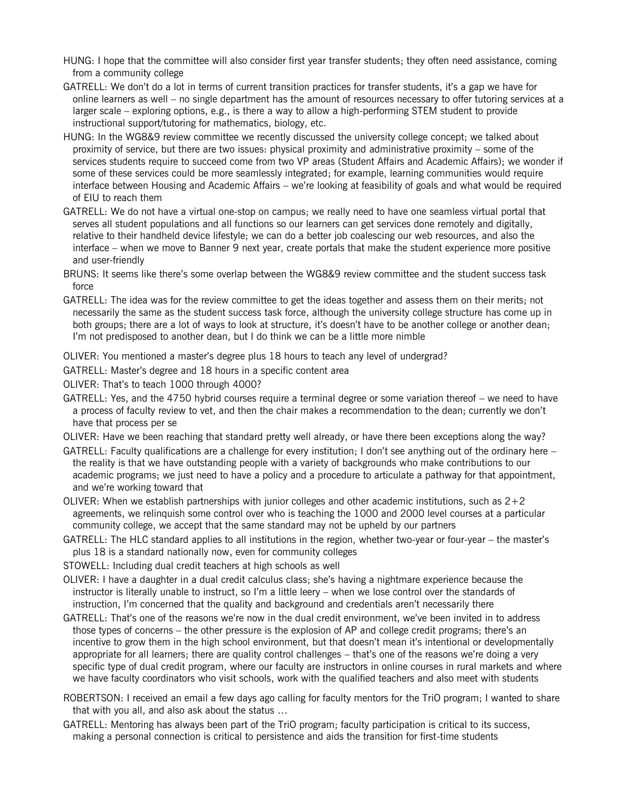- HUNG: I hope that the committee will also consider first year transfer students; they often need assistance, coming from a community college
- GATRELL: We don't do a lot in terms of current transition practices for transfer students, it's a gap we have for online learners as well – no single department has the amount of resources necessary to offer tutoring services at a larger scale – exploring options, e.g., is there a way to allow a high-performing STEM student to provide instructional support/tutoring for mathematics, biology, etc.
- HUNG: In the WG8&9 review committee we recently discussed the university college concept; we talked about proximity of service, but there are two issues: physical proximity and administrative proximity – some of the services students require to succeed come from two VP areas (Student Affairs and Academic Affairs); we wonder if some of these services could be more seamlessly integrated; for example, learning communities would require interface between Housing and Academic Affairs – we're looking at feasibility of goals and what would be required of EIU to reach them
- GATRELL: We do not have a virtual one-stop on campus; we really need to have one seamless virtual portal that serves all student populations and all functions so our learners can get services done remotely and digitally, relative to their handheld device lifestyle; we can do a better job coalescing our web resources, and also the interface – when we move to Banner 9 next year, create portals that make the student experience more positive and user-friendly
- BRUNS: It seems like there's some overlap between the WG8&9 review committee and the student success task force
- GATRELL: The idea was for the review committee to get the ideas together and assess them on their merits; not necessarily the same as the student success task force, although the university college structure has come up in both groups; there are a lot of ways to look at structure, it's doesn't have to be another college or another dean; I'm not predisposed to another dean, but I do think we can be a little more nimble
- OLIVER: You mentioned a master's degree plus 18 hours to teach any level of undergrad?
- GATRELL: Master's degree and 18 hours in a specific content area
- OLIVER: That's to teach 1000 through 4000?
- GATRELL: Yes, and the 4750 hybrid courses require a terminal degree or some variation thereof we need to have a process of faculty review to vet, and then the chair makes a recommendation to the dean; currently we don't have that process per se
- OLIVER: Have we been reaching that standard pretty well already, or have there been exceptions along the way?
- GATRELL: Faculty qualifications are a challenge for every institution; I don't see anything out of the ordinary here the reality is that we have outstanding people with a variety of backgrounds who make contributions to our academic programs; we just need to have a policy and a procedure to articulate a pathway for that appointment, and we're working toward that
- OLIVER: When we establish partnerships with junior colleges and other academic institutions, such as  $2+2$ agreements, we relinquish some control over who is teaching the 1000 and 2000 level courses at a particular community college, we accept that the same standard may not be upheld by our partners
- GATRELL: The HLC standard applies to all institutions in the region, whether two-year or four-year the master's plus 18 is a standard nationally now, even for community colleges
- STOWELL: Including dual credit teachers at high schools as well
- OLIVER: I have a daughter in a dual credit calculus class; she's having a nightmare experience because the instructor is literally unable to instruct, so I'm a little leery – when we lose control over the standards of instruction, I'm concerned that the quality and background and credentials aren't necessarily there
- GATRELL: That's one of the reasons we're now in the dual credit environment, we've been invited in to address those types of concerns – the other pressure is the explosion of AP and college credit programs; there's an incentive to grow them in the high school environment, but that doesn't mean it's intentional or developmentally appropriate for all learners; there are quality control challenges – that's one of the reasons we're doing a very specific type of dual credit program, where our faculty are instructors in online courses in rural markets and where we have faculty coordinators who visit schools, work with the qualified teachers and also meet with students
- ROBERTSON: I received an email a few days ago calling for faculty mentors for the TriO program; I wanted to share that with you all, and also ask about the status …
- GATRELL: Mentoring has always been part of the TriO program; faculty participation is critical to its success, making a personal connection is critical to persistence and aids the transition for first-time students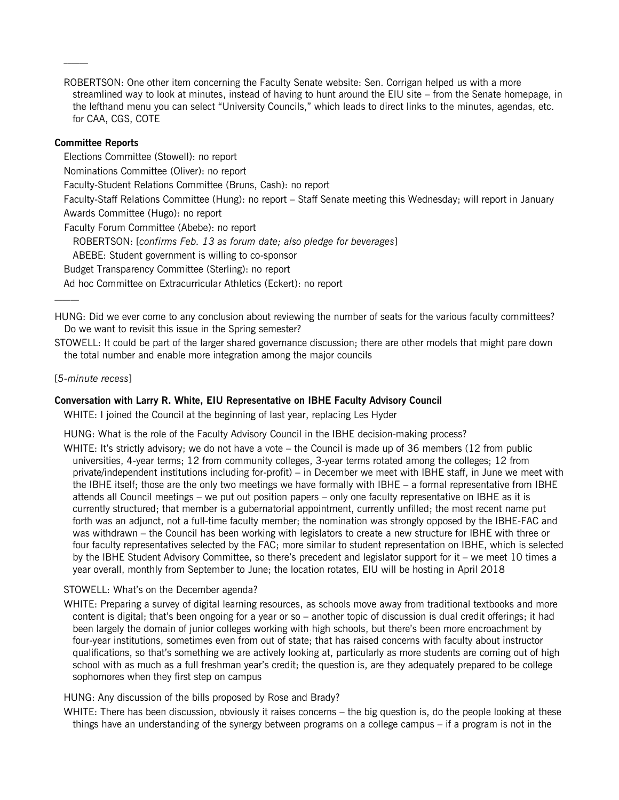ROBERTSON: One other item concerning the Faculty Senate website: Sen. Corrigan helped us with a more streamlined way to look at minutes, instead of having to hunt around the EIU site – from the Senate homepage, in the lefthand menu you can select "University Councils," which leads to direct links to the minutes, agendas, etc. for CAA, CGS, COTE

#### **Committee Reports**

Elections Committee (Stowell): no report

Nominations Committee (Oliver): no report

Faculty-Student Relations Committee (Bruns, Cash): no report

Faculty-Staff Relations Committee (Hung): no report – Staff Senate meeting this Wednesday; will report in January Awards Committee (Hugo): no report

Faculty Forum Committee (Abebe): no report

ROBERTSON: [*confirms Feb. 13 as forum date; also pledge for beverages*]

ABEBE: Student government is willing to co-sponsor

Budget Transparency Committee (Sterling): no report

Ad hoc Committee on Extracurricular Athletics (Eckert): no report

HUNG: Did we ever come to any conclusion about reviewing the number of seats for the various faculty committees? Do we want to revisit this issue in the Spring semester?

STOWELL: It could be part of the larger shared governance discussion; there are other models that might pare down the total number and enable more integration among the major councils

#### [*5-minute recess*]

#### **Conversation with Larry R. White, EIU Representative on IBHE Faculty Advisory Council**

WHITE: I joined the Council at the beginning of last year, replacing Les Hyder

HUNG: What is the role of the Faculty Advisory Council in the IBHE decision-making process?

WHITE: It's strictly advisory; we do not have a vote – the Council is made up of 36 members (12 from public universities, 4-year terms; 12 from community colleges, 3-year terms rotated among the colleges; 12 from private/independent institutions including for-profit) – in December we meet with IBHE staff, in June we meet with the IBHE itself; those are the only two meetings we have formally with IBHE – a formal representative from IBHE attends all Council meetings – we put out position papers – only one faculty representative on IBHE as it is currently structured; that member is a gubernatorial appointment, currently unfilled; the most recent name put forth was an adjunct, not a full-time faculty member; the nomination was strongly opposed by the IBHE-FAC and was withdrawn – the Council has been working with legislators to create a new structure for IBHE with three or four faculty representatives selected by the FAC; more similar to student representation on IBHE, which is selected by the IBHE Student Advisory Committee, so there's precedent and legislator support for it – we meet 10 times a year overall, monthly from September to June; the location rotates, EIU will be hosting in April 2018

## STOWELL: What's on the December agenda?

WHITE: Preparing a survey of digital learning resources, as schools move away from traditional textbooks and more content is digital; that's been ongoing for a year or so – another topic of discussion is dual credit offerings; it had been largely the domain of junior colleges working with high schools, but there's been more encroachment by four-year institutions, sometimes even from out of state; that has raised concerns with faculty about instructor qualifications, so that's something we are actively looking at, particularly as more students are coming out of high school with as much as a full freshman year's credit; the question is, are they adequately prepared to be college sophomores when they first step on campus

HUNG: Any discussion of the bills proposed by Rose and Brady?

WHITE: There has been discussion, obviously it raises concerns – the big question is, do the people looking at these things have an understanding of the synergy between programs on a college campus – if a program is not in the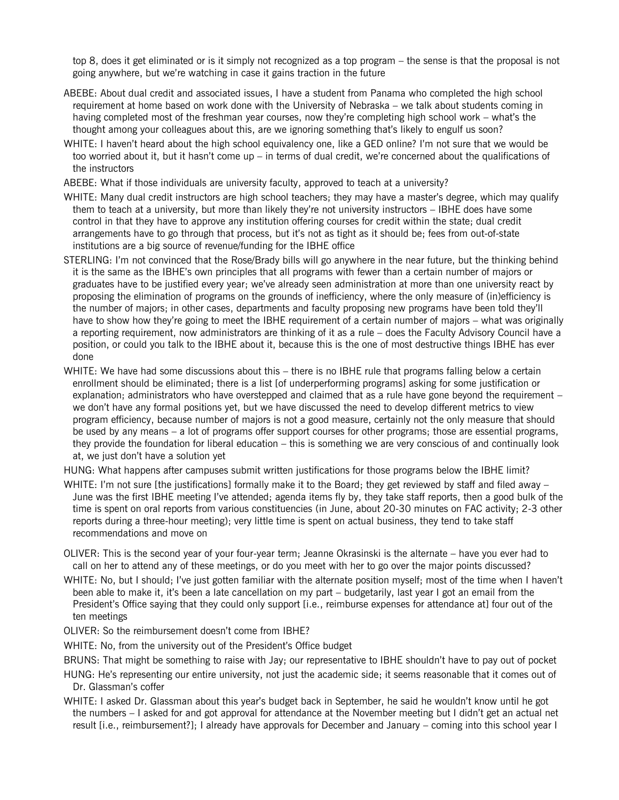top 8, does it get eliminated or is it simply not recognized as a top program – the sense is that the proposal is not going anywhere, but we're watching in case it gains traction in the future

- ABEBE: About dual credit and associated issues, I have a student from Panama who completed the high school requirement at home based on work done with the University of Nebraska – we talk about students coming in having completed most of the freshman year courses, now they're completing high school work – what's the thought among your colleagues about this, are we ignoring something that's likely to engulf us soon?
- WHITE: I haven't heard about the high school equivalency one, like a GED online? I'm not sure that we would be too worried about it, but it hasn't come up – in terms of dual credit, we're concerned about the qualifications of the instructors
- ABEBE: What if those individuals are university faculty, approved to teach at a university?
- WHITE: Many dual credit instructors are high school teachers; they may have a master's degree, which may qualify them to teach at a university, but more than likely they're not university instructors – IBHE does have some control in that they have to approve any institution offering courses for credit within the state; dual credit arrangements have to go through that process, but it's not as tight as it should be; fees from out-of-state institutions are a big source of revenue/funding for the IBHE office
- STERLING: I'm not convinced that the Rose/Brady bills will go anywhere in the near future, but the thinking behind it is the same as the IBHE's own principles that all programs with fewer than a certain number of majors or graduates have to be justified every year; we've already seen administration at more than one university react by proposing the elimination of programs on the grounds of inefficiency, where the only measure of (in)efficiency is the number of majors; in other cases, departments and faculty proposing new programs have been told they'll have to show how they're going to meet the IBHE requirement of a certain number of majors – what was originally a reporting requirement, now administrators are thinking of it as a rule – does the Faculty Advisory Council have a position, or could you talk to the IBHE about it, because this is the one of most destructive things IBHE has ever done
- WHITE: We have had some discussions about this there is no IBHE rule that programs falling below a certain enrollment should be eliminated; there is a list [of underperforming programs] asking for some justification or explanation; administrators who have overstepped and claimed that as a rule have gone beyond the requirement – we don't have any formal positions yet, but we have discussed the need to develop different metrics to view program efficiency, because number of majors is not a good measure, certainly not the only measure that should be used by any means – a lot of programs offer support courses for other programs; those are essential programs, they provide the foundation for liberal education – this is something we are very conscious of and continually look at, we just don't have a solution yet
- HUNG: What happens after campuses submit written justifications for those programs below the IBHE limit?
- WHITE: I'm not sure [the justifications] formally make it to the Board; they get reviewed by staff and filed away June was the first IBHE meeting I've attended; agenda items fly by, they take staff reports, then a good bulk of the time is spent on oral reports from various constituencies (in June, about 20-30 minutes on FAC activity; 2-3 other reports during a three-hour meeting); very little time is spent on actual business, they tend to take staff recommendations and move on
- OLIVER: This is the second year of your four-year term; Jeanne Okrasinski is the alternate have you ever had to call on her to attend any of these meetings, or do you meet with her to go over the major points discussed?
- WHITE: No, but I should; I've just gotten familiar with the alternate position myself; most of the time when I haven't been able to make it, it's been a late cancellation on my part – budgetarily, last year I got an email from the President's Office saying that they could only support [i.e., reimburse expenses for attendance at] four out of the ten meetings
- OLIVER: So the reimbursement doesn't come from IBHE?
- WHITE: No, from the university out of the President's Office budget
- BRUNS: That might be something to raise with Jay; our representative to IBHE shouldn't have to pay out of pocket
- HUNG: He's representing our entire university, not just the academic side; it seems reasonable that it comes out of Dr. Glassman's coffer
- WHITE: I asked Dr. Glassman about this year's budget back in September, he said he wouldn't know until he got the numbers – I asked for and got approval for attendance at the November meeting but I didn't get an actual net result [i.e., reimbursement?]; I already have approvals for December and January – coming into this school year I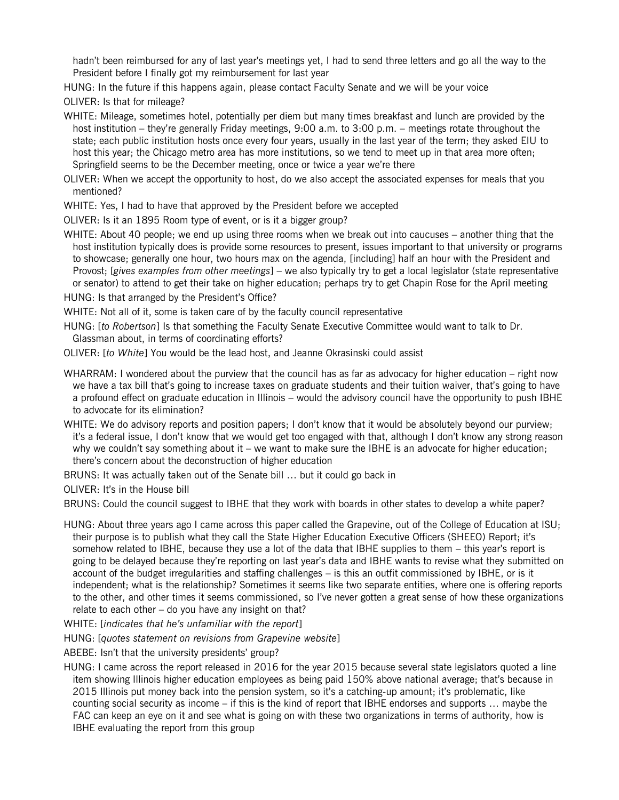hadn't been reimbursed for any of last year's meetings yet, I had to send three letters and go all the way to the President before I finally got my reimbursement for last year

HUNG: In the future if this happens again, please contact Faculty Senate and we will be your voice

OLIVER: Is that for mileage?

- WHITE: Mileage, sometimes hotel, potentially per diem but many times breakfast and lunch are provided by the host institution – they're generally Friday meetings, 9:00 a.m. to 3:00 p.m. – meetings rotate throughout the state; each public institution hosts once every four years, usually in the last year of the term; they asked EIU to host this year; the Chicago metro area has more institutions, so we tend to meet up in that area more often; Springfield seems to be the December meeting, once or twice a year we're there
- OLIVER: When we accept the opportunity to host, do we also accept the associated expenses for meals that you mentioned?

WHITE: Yes, I had to have that approved by the President before we accepted

OLIVER: Is it an 1895 Room type of event, or is it a bigger group?

WHITE: About 40 people; we end up using three rooms when we break out into caucuses – another thing that the host institution typically does is provide some resources to present, issues important to that university or programs to showcase; generally one hour, two hours max on the agenda, [including] half an hour with the President and Provost; [*gives examples from other meetings*] – we also typically try to get a local legislator (state representative or senator) to attend to get their take on higher education; perhaps try to get Chapin Rose for the April meeting

HUNG: Is that arranged by the President's Office?

WHITE: Not all of it, some is taken care of by the faculty council representative

HUNG: [*to Robertson*] Is that something the Faculty Senate Executive Committee would want to talk to Dr. Glassman about, in terms of coordinating efforts?

OLIVER: [*to White*] You would be the lead host, and Jeanne Okrasinski could assist

- WHARRAM: I wondered about the purview that the council has as far as advocacy for higher education right now we have a tax bill that's going to increase taxes on graduate students and their tuition waiver, that's going to have a profound effect on graduate education in Illinois – would the advisory council have the opportunity to push IBHE to advocate for its elimination?
- WHITE: We do advisory reports and position papers; I don't know that it would be absolutely beyond our purview; it's a federal issue, I don't know that we would get too engaged with that, although I don't know any strong reason why we couldn't say something about it – we want to make sure the IBHE is an advocate for higher education; there's concern about the deconstruction of higher education

BRUNS: It was actually taken out of the Senate bill … but it could go back in

OLIVER: It's in the House bill

BRUNS: Could the council suggest to IBHE that they work with boards in other states to develop a white paper?

HUNG: About three years ago I came across this paper called the Grapevine, out of the College of Education at ISU; their purpose is to publish what they call the State Higher Education Executive Officers (SHEEO) Report; it's somehow related to IBHE, because they use a lot of the data that IBHE supplies to them – this year's report is going to be delayed because they're reporting on last year's data and IBHE wants to revise what they submitted on account of the budget irregularities and staffing challenges – is this an outfit commissioned by IBHE, or is it independent; what is the relationship? Sometimes it seems like two separate entities, where one is offering reports to the other, and other times it seems commissioned, so I've never gotten a great sense of how these organizations relate to each other  $-$  do you have any insight on that?

WHITE: [*indicates that he's unfamiliar with the report*]

HUNG: [*quotes statement on revisions from Grapevine website*]

ABEBE: Isn't that the university presidents' group?

HUNG: I came across the report released in 2016 for the year 2015 because several state legislators quoted a line item showing Illinois higher education employees as being paid 150% above national average; that's because in 2015 Illinois put money back into the pension system, so it's a catching-up amount; it's problematic, like counting social security as income – if this is the kind of report that IBHE endorses and supports … maybe the FAC can keep an eye on it and see what is going on with these two organizations in terms of authority, how is IBHE evaluating the report from this group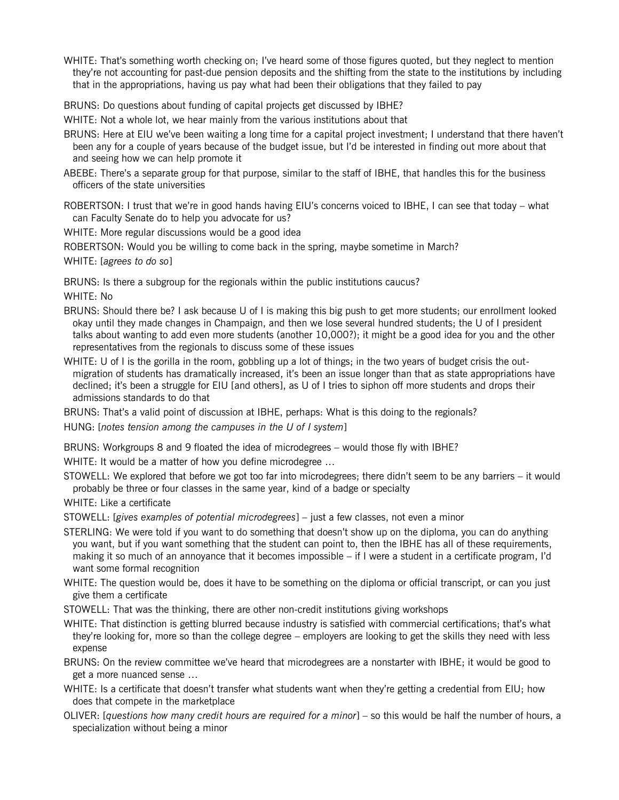WHITE: That's something worth checking on; I've heard some of those figures quoted, but they neglect to mention they're not accounting for past-due pension deposits and the shifting from the state to the institutions by including that in the appropriations, having us pay what had been their obligations that they failed to pay

BRUNS: Do questions about funding of capital projects get discussed by IBHE?

WHITE: Not a whole lot, we hear mainly from the various institutions about that

- BRUNS: Here at EIU we've been waiting a long time for a capital project investment; I understand that there haven't been any for a couple of years because of the budget issue, but I'd be interested in finding out more about that and seeing how we can help promote it
- ABEBE: There's a separate group for that purpose, similar to the staff of IBHE, that handles this for the business officers of the state universities

ROBERTSON: I trust that we're in good hands having EIU's concerns voiced to IBHE, I can see that today – what can Faculty Senate do to help you advocate for us?

WHITE: More regular discussions would be a good idea

ROBERTSON: Would you be willing to come back in the spring, maybe sometime in March?

WHITE: [*agrees to do so*]

BRUNS: Is there a subgroup for the regionals within the public institutions caucus?

WHITE: No

- BRUNS: Should there be? I ask because U of I is making this big push to get more students; our enrollment looked okay until they made changes in Champaign, and then we lose several hundred students; the U of I president talks about wanting to add even more students (another 10,000?); it might be a good idea for you and the other representatives from the regionals to discuss some of these issues
- WHITE: U of I is the gorilla in the room, gobbling up a lot of things; in the two years of budget crisis the outmigration of students has dramatically increased, it's been an issue longer than that as state appropriations have declined; it's been a struggle for EIU [and others], as U of I tries to siphon off more students and drops their admissions standards to do that

BRUNS: That's a valid point of discussion at IBHE, perhaps: What is this doing to the regionals?

HUNG: [*notes tension among the campuses in the U of I system*]

BRUNS: Workgroups 8 and 9 floated the idea of microdegrees – would those fly with IBHE?

WHITE: It would be a matter of how you define microdegree ...

STOWELL: We explored that before we got too far into microdegrees; there didn't seem to be any barriers – it would probably be three or four classes in the same year, kind of a badge or specialty

WHITE: Like a certificate

STOWELL: [*gives examples of potential microdegrees*] – just a few classes, not even a minor

- STERLING: We were told if you want to do something that doesn't show up on the diploma, you can do anything you want, but if you want something that the student can point to, then the IBHE has all of these requirements, making it so much of an annoyance that it becomes impossible – if I were a student in a certificate program, I'd want some formal recognition
- WHITE: The question would be, does it have to be something on the diploma or official transcript, or can you just give them a certificate

STOWELL: That was the thinking, there are other non-credit institutions giving workshops

WHITE: That distinction is getting blurred because industry is satisfied with commercial certifications; that's what they're looking for, more so than the college degree – employers are looking to get the skills they need with less expense

BRUNS: On the review committee we've heard that microdegrees are a nonstarter with IBHE; it would be good to get a more nuanced sense …

- WHITE: Is a certificate that doesn't transfer what students want when they're getting a credential from EIU; how does that compete in the marketplace
- OLIVER: [*questions how many credit hours are required for a minor*] so this would be half the number of hours, a specialization without being a minor